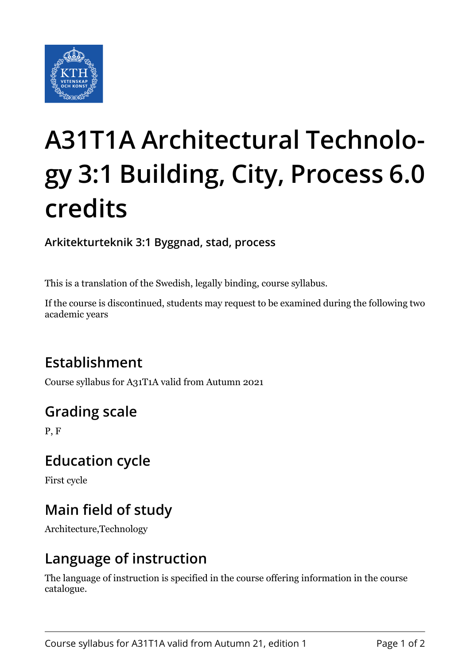

# **A31T1A Architectural Technology 3:1 Building, City, Process 6.0 credits**

**Arkitekturteknik 3:1 Byggnad, stad, process**

This is a translation of the Swedish, legally binding, course syllabus.

If the course is discontinued, students may request to be examined during the following two academic years

# **Establishment**

Course syllabus for A31T1A valid from Autumn 2021

# **Grading scale**

P, F

### **Education cycle**

First cycle

# **Main field of study**

Architecture,Technology

### **Language of instruction**

The language of instruction is specified in the course offering information in the course catalogue.